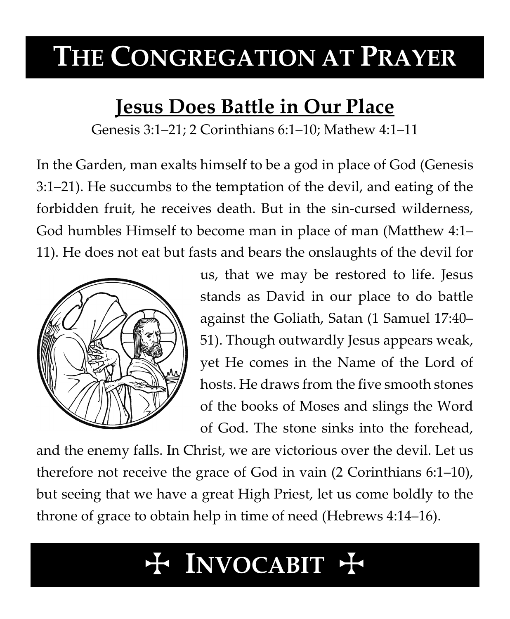# **THE CONGREGATION AT PRAYER**

# **Jesus Does Battle in Our Place**

Genesis 3:1–21; 2 Corinthians 6:1–10; Mathew 4:1–11

In the Garden, man exalts himself to be a god in place of God (Genesis 3:1–21). He succumbs to the temptation of the devil, and eating of the forbidden fruit, he receives death. But in the sin-cursed wilderness, God humbles Himself to become man in place of man (Matthew 4:1– 11). He does not eat but fasts and bears the onslaughts of the devil for



us, that we may be restored to life. Jesus stands as David in our place to do battle against the Goliath, Satan (1 Samuel 17:40– 51). Though outwardly Jesus appears weak, yet He comes in the Name of the Lord of hosts. He draws from the five smooth stones of the books of Moses and slings the Word of God. The stone sinks into the forehead,

and the enemy falls. In Christ, we are victorious over the devil. Let us therefore not receive the grace of God in vain (2 Corinthians 6:1–10), but seeing that we have a great High Priest, let us come boldly to the throne of grace to obtain help in time of need (Hebrews 4:14–16).

# T **INVOCABIT** T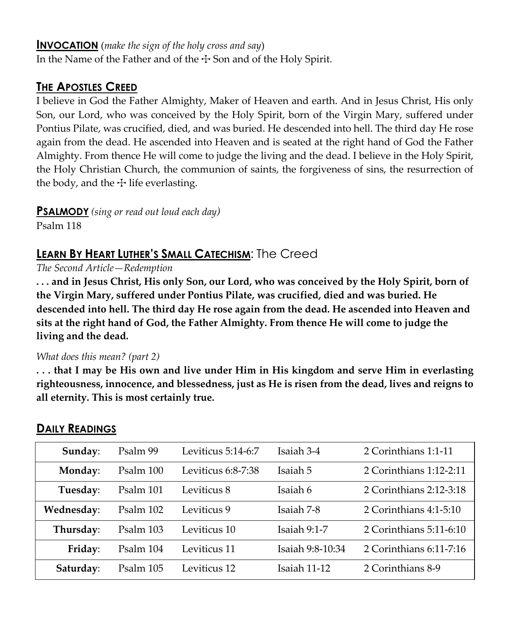#### **INVOCATION** (*make the sign of the holy cross and say*)

In the Name of the Father and of the  $\pm$  Son and of the Holy Spirit.

### **THE APOSTLES CREED**

I believe in God the Father Almighty, Maker of Heaven and earth. And in Jesus Christ, His only Son, our Lord, who was conceived by the Holy Spirit, born of the Virgin Mary, suffered under Pontius Pilate, was crucified, died, and was buried. He descended into hell. The third day He rose again from the dead. He ascended into Heaven and is seated at the right hand of God the Father Almighty. From thence He will come to judge the living and the dead. I believe in the Holy Spirit, the Holy Christian Church, the communion of saints, the forgiveness of sins, the resurrection of the body, and the  $\pm$  life everlasting.

**PSALMODY** *(sing or read out loud each day)*

Psalm 118

## **LEARN BY HEART LUTHER'S SMALL CATECHISM**: The Creed

*The Second Article—Redemption*

**. . . and in Jesus Christ, His only Son, our Lord, who was conceived by the Holy Spirit, born of the Virgin Mary, suffered under Pontius Pilate, was crucified, died and was buried. He descended into hell. The third day He rose again from the dead. He ascended into Heaven and sits at the right hand of God, the Father Almighty. From thence He will come to judge the living and the dead.**

#### *What does this mean? (part 2)*

**. . . that I may be His own and live under Him in His kingdom and serve Him in everlasting righteousness, innocence, and blessedness, just as He is risen from the dead, lives and reigns to all eternity. This is most certainly true.**

| Sunday:    | Psalm 99  | Leviticus 5:14-6:7 | Isaiah 3-4       | 2 Corinthians 1:1-11     |
|------------|-----------|--------------------|------------------|--------------------------|
| Monday:    | Psalm 100 | Leviticus 6:8-7:38 | Isaiah 5         | 2 Corinthians 1:12-2:11  |
| Tuesday:   | Psalm 101 | Leviticus 8        | Isaiah 6         | 2 Corinthians 2:12-3:18  |
| Wednesday: | Psalm 102 | Leviticus 9        | Isaiah 7-8       | 2 Corinthians $4:1-5:10$ |
| Thursday:  | Psalm 103 | Leviticus 10       | Isaiah 9:1-7     | 2 Corinthians 5:11-6:10  |
| Friday:    | Psalm 104 | Leviticus 11       | Isaiah 9:8-10:34 | 2 Corinthians 6:11-7:16  |
| Saturday:  | Psalm 105 | Leviticus 12       | Isaiah 11-12     | 2 Corinthians 8-9        |

### **DAILY READINGS**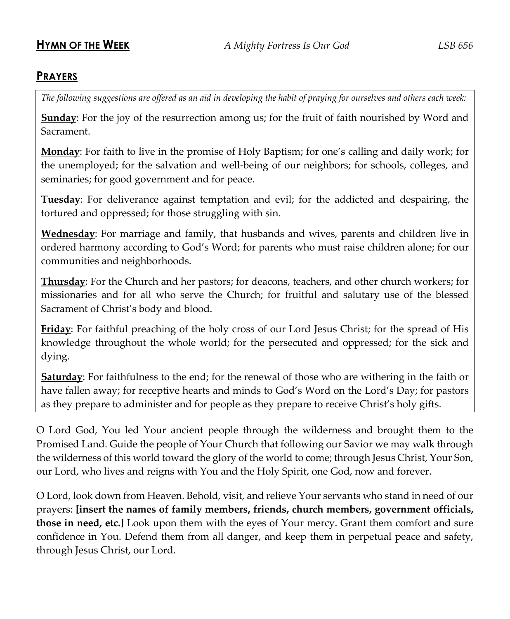#### **PRAYERS**

*The following suggestions are offered as an aid in developing the habit of praying for ourselves and others each week:*

**Sunday**: For the joy of the resurrection among us; for the fruit of faith nourished by Word and Sacrament.

**Monday**: For faith to live in the promise of Holy Baptism; for one's calling and daily work; for the unemployed; for the salvation and well-being of our neighbors; for schools, colleges, and seminaries; for good government and for peace.

**Tuesday**: For deliverance against temptation and evil; for the addicted and despairing, the tortured and oppressed; for those struggling with sin.

**Wednesday**: For marriage and family, that husbands and wives, parents and children live in ordered harmony according to God's Word; for parents who must raise children alone; for our communities and neighborhoods.

**Thursday**: For the Church and her pastors; for deacons, teachers, and other church workers; for missionaries and for all who serve the Church; for fruitful and salutary use of the blessed Sacrament of Christ's body and blood.

**Friday**: For faithful preaching of the holy cross of our Lord Jesus Christ; for the spread of His knowledge throughout the whole world; for the persecuted and oppressed; for the sick and dying.

**Saturday**: For faithfulness to the end; for the renewal of those who are withering in the faith or have fallen away; for receptive hearts and minds to God's Word on the Lord's Day; for pastors as they prepare to administer and for people as they prepare to receive Christ's holy gifts.

O Lord God, You led Your ancient people through the wilderness and brought them to the Promised Land. Guide the people of Your Church that following our Savior we may walk through the wilderness of this world toward the glory of the world to come; through Jesus Christ, Your Son, our Lord, who lives and reigns with You and the Holy Spirit, one God, now and forever.

O Lord, look down from Heaven. Behold, visit, and relieve Your servants who stand in need of our prayers: **[insert the names of family members, friends, church members, government officials, those in need, etc.]** Look upon them with the eyes of Your mercy. Grant them comfort and sure confidence in You. Defend them from all danger, and keep them in perpetual peace and safety, through Jesus Christ, our Lord.